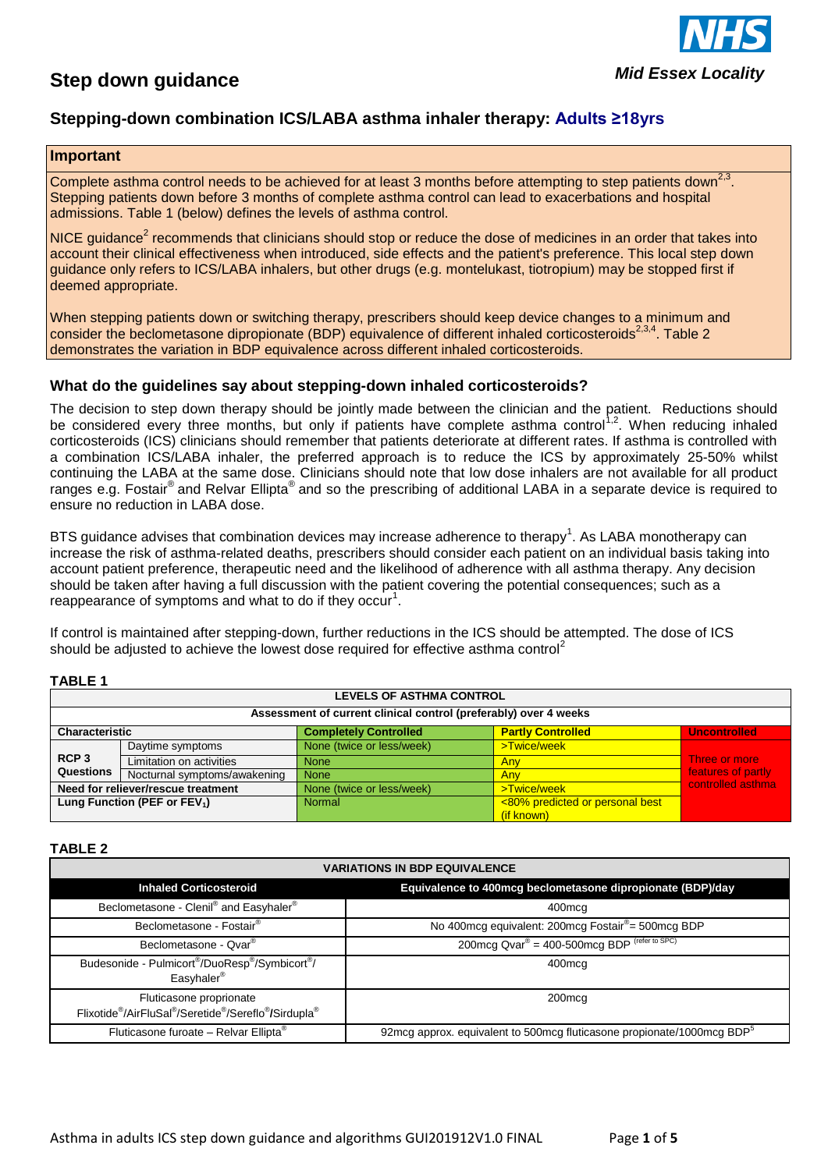# **Step down guidance**



## **Stepping-down combination ICS/LABA asthma inhaler therapy: Adults ≥18yrs**

### **Important**

Complete asthma control needs to be achieved for at least 3 months before attempting to step patients down<sup>2,3</sup>. Stepping patients down before 3 months of complete asthma control can lead to exacerbations and hospital admissions. Table 1 (below) defines the levels of asthma control.

NICE guidance<sup>2</sup> recommends that clinicians should stop or reduce the dose of medicines in an order that takes into account their clinical effectiveness when introduced, side effects and the patient's preference. This local step down guidance only refers to ICS/LABA inhalers, but other drugs (e.g. montelukast, tiotropium) may be stopped first if deemed appropriate.

When stepping patients down or switching therapy, prescribers should keep device changes to a minimum and consider the beclometasone dipropionate (BDP) equivalence of different inhaled corticosteroids<sup>2,3,4</sup>. Table 2 demonstrates the variation in BDP equivalence across different inhaled corticosteroids.

## **What do the guidelines say about stepping-down inhaled corticosteroids?**

The decision to step down therapy should be jointly made between the clinician and the patient. Reductions should be considered every three months, but only if patients have complete asthma control<sup>1,2</sup>. When reducing inhaled corticosteroids (ICS) clinicians should remember that patients deteriorate at different rates. If asthma is controlled with a combination ICS/LABA inhaler, the preferred approach is to reduce the ICS by approximately 25-50% whilst continuing the LABA at the same dose. Clinicians should note that low dose inhalers are not available for all product ranges e.g. Fostair<sup>®</sup> and Relvar Ellipta<sup>®</sup> and so the prescribing of additional LABA in a separate device is required to ensure no reduction in LABA dose.

BTS guidance advises that combination devices may increase adherence to therapy<sup>1</sup>. As LABA monotherapy can increase the risk of asthma-related deaths, prescribers should consider each patient on an individual basis taking into account patient preference, therapeutic need and the likelihood of adherence with all asthma therapy. Any decision should be taken after having a full discussion with the patient covering the potential consequences; such as a reappearance of symptoms and what to do if they occur<sup>1</sup>.

If control is maintained after stepping-down, further reductions in the ICS should be attempted. The dose of ICS should be adjusted to achieve the lowest dose required for effective asthma control<sup>2</sup>

### **TABLE 1**

| <b>LEVELS OF ASTHMA CONTROL</b>                                  |                              |                              |                                 |                                     |  |  |
|------------------------------------------------------------------|------------------------------|------------------------------|---------------------------------|-------------------------------------|--|--|
| Assessment of current clinical control (preferably) over 4 weeks |                              |                              |                                 |                                     |  |  |
| Characteristic                                                   |                              | <b>Completely Controlled</b> | <b>Partly Controlled</b>        | <b>Uncontrolled</b>                 |  |  |
| RCP <sub>3</sub><br>Questions                                    | Daytime symptoms             | None (twice or less/week)    | >Twice/week                     | Three or more<br>features of partly |  |  |
|                                                                  | Limitation on activities     | <b>None</b>                  | Any                             |                                     |  |  |
|                                                                  | Nocturnal symptoms/awakening | <b>None</b>                  | Any                             |                                     |  |  |
| Need for reliever/rescue treatment                               |                              | None (twice or less/week)    | >Twice/week                     | controlled asthma                   |  |  |
| Lung Function (PEF or $FEV_1$ )                                  |                              | <b>Normal</b>                | <80% predicted or personal best |                                     |  |  |
|                                                                  |                              |                              | (if known)                      |                                     |  |  |

### **TABLE 2**

| <b>VARIATIONS IN BDP EQUIVALENCE</b>                                                                                                          |                                                                                    |  |
|-----------------------------------------------------------------------------------------------------------------------------------------------|------------------------------------------------------------------------------------|--|
| <b>Inhaled Corticosteroid</b>                                                                                                                 | Equivalence to 400mcg beclometasone dipropionate (BDP)/day                         |  |
| Beclometasone - Clenil® and Easyhaler®                                                                                                        | 400mcg                                                                             |  |
| Beclometasone - Fostair <sup>®</sup>                                                                                                          | No 400mcg equivalent: 200mcg Fostair <sup>®</sup> = 500mcg BDP                     |  |
| Beclometasone - Qvar <sup>®</sup>                                                                                                             | 200mcg $Qvar^{\circledR} = 400 - 500$ mcg BDP (refer to SPC)                       |  |
| Budesonide - Pulmicort <sup>®</sup> /DuoResp <sup>®</sup> /Symbicort <sup>®</sup> /<br>Easyhaler <sup>®</sup>                                 | 400mcg                                                                             |  |
| Fluticasone proprionate<br>Flixotide <sup>®</sup> /AirFluSal <sup>®</sup> /Seretide <sup>®</sup> /Sereflo <sup>®</sup> /Sirdupla <sup>®</sup> | 200 <sub>mcq</sub>                                                                 |  |
| Fluticasone furoate - Relvar Ellipta <sup>®</sup>                                                                                             | 92mcg approx. equivalent to 500mcg fluticasone propionate/1000mcg BDP <sup>8</sup> |  |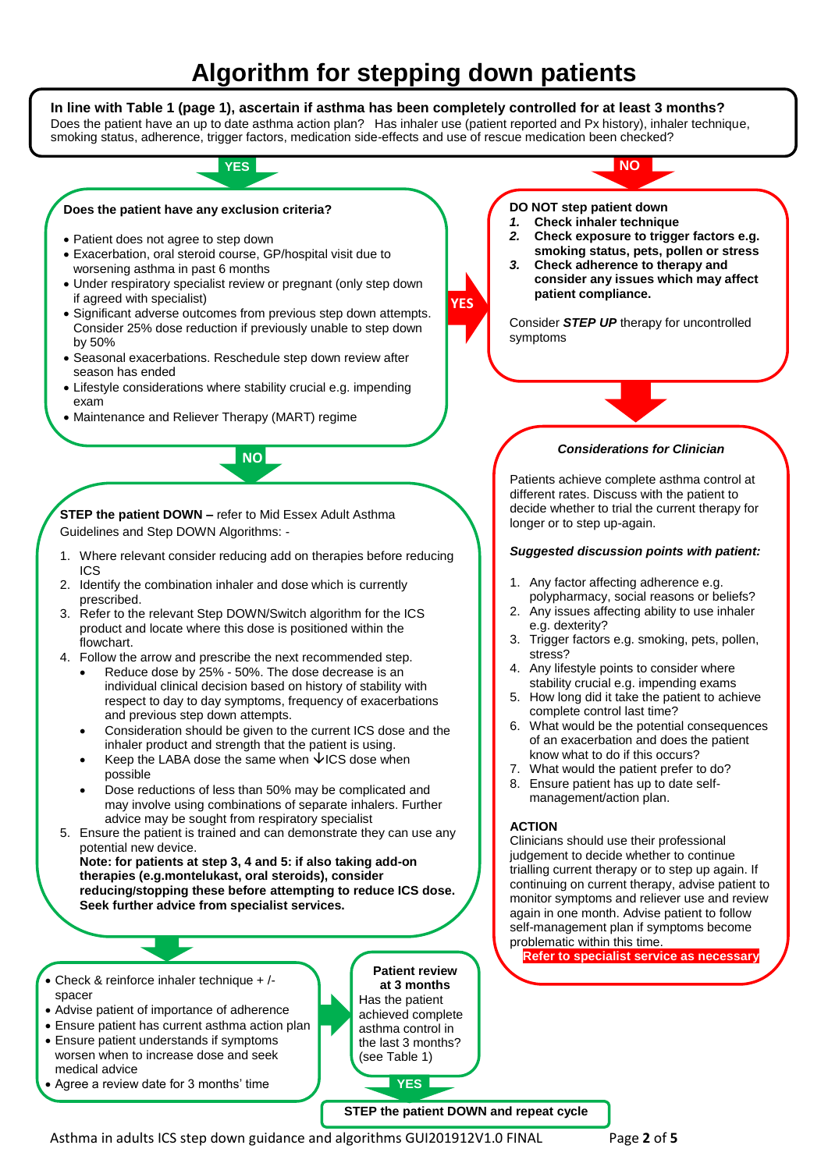# **Algorithm for stepping down patients**



• Agree a review date for 3 months' time

**STEP the patient DOWN and repeat cycle**

**YES**

Asthma in adults ICS step down guidance and algorithms GUI201912V1.0 FINAL Page **2** of **5**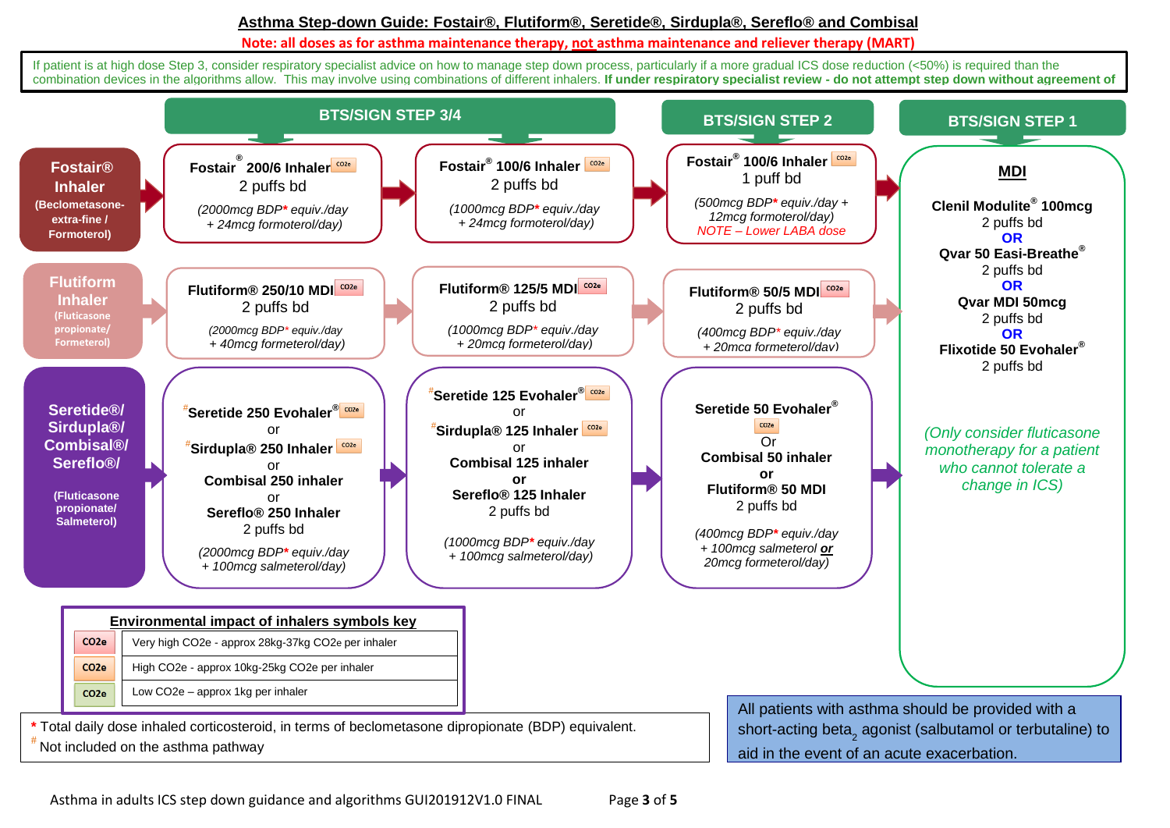## **Asthma Step-down Guide: Fostair®, Flutiform®, Seretide®, Sirdupla®, Sereflo® and Combisal**

#### **Note: all doses as for asthma maintenance therapy, not asthma maintenance and reliever therapy (MART)**

If patient is at high dose Step 3, consider respiratory specialist advice on how to manage step down process, particularly if a more gradual ICS dose reduction (<50%) is required than the combination devices in the algorithms allow. This may involve using combinations of different inhalers. **If under respiratory specialist review - do not attempt step down without agreement of** 

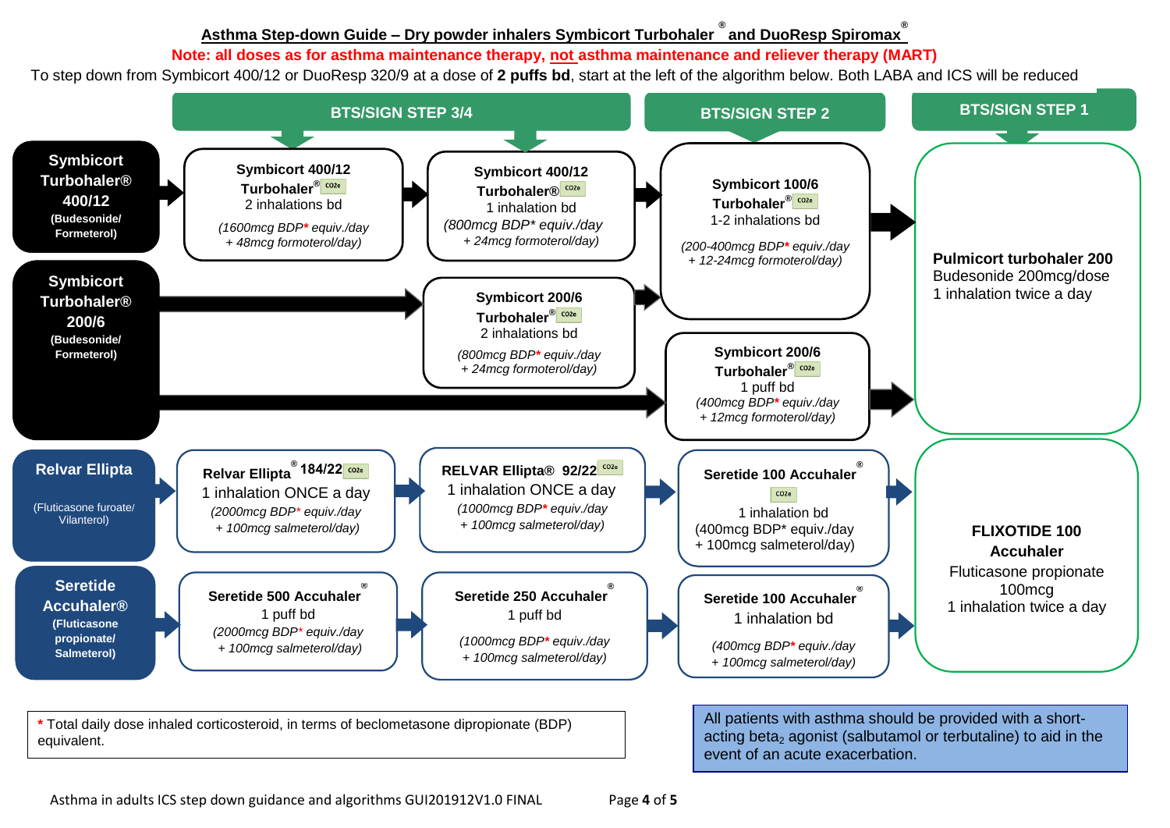# <u> Asthma Step-down Guide – Dry powder inhalers Symbicort Turbohaler  $^{\circledast}$ and DuoResp Spiromax $^{\circledast}$ </u>

# Note: all doses as for asthma maintenance therapy, <u>not a</u>sthma maintenance and reliever therapy (MART)

To step down from Symbicort 400/12 or DuoResp 320/9 at a dose of **2 puffs bd**, start at the left of the algorithm below. Both LABA and ICS will be reduced